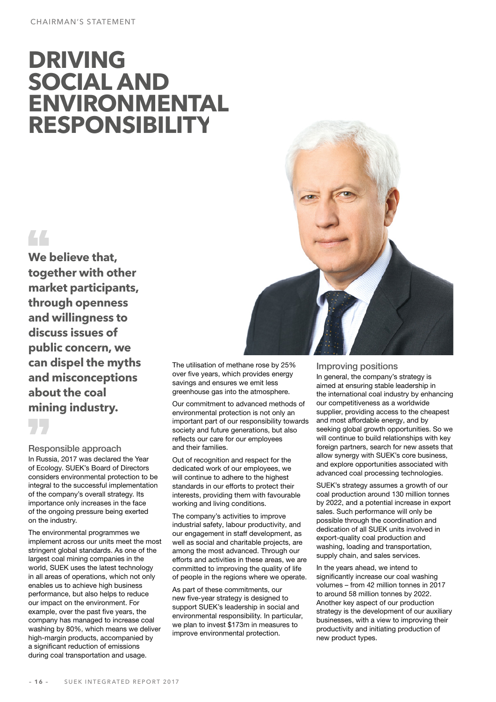# **DRIVING SOCIAL AND ENVIRONMENTAL RESPONSIBILITY**

## 44

**We believe that, together with other market participants, through openness and willingness to discuss issues of public concern, we can dispel the myths and misconceptions about the coal mining industry.**

Responsible approach

In Russia, 2017 was declared the Year of Ecology. SUEK's Board of Directors considers environmental protection to be integral to the successful implementation of the company's overall strategy. Its importance only increases in the face of the ongoing pressure being exerted on the industry.

The environmental programmes we implement across our units meet the most stringent global standards. As one of the largest coal mining companies in the world, SUEK uses the latest technology in all areas of operations, which not only enables us to achieve high business performance, but also helps to reduce our impact on the environment. For example, over the past five years, the company has managed to increase coal washing by 80%, which means we deliver high-margin products, accompanied by a significant reduction of emissions during coal transportation and usage.



The utilisation of methane rose by 25% over five years, which provides energy savings and ensures we emit less greenhouse gas into the atmosphere.

Our commitment to advanced methods of environmental protection is not only an important part of our responsibility towards society and future generations, but also reflects our care for our employees and their families.

Out of recognition and respect for the dedicated work of our employees, we will continue to adhere to the highest standards in our efforts to protect their interests, providing them with favourable working and living conditions.

The company's activities to improve industrial safety, labour productivity, and our engagement in staff development, as well as social and charitable projects, are among the most advanced. Through our efforts and activities in these areas, we are committed to improving the quality of life of people in the regions where we operate.

As part of these commitments, our new five-year strategy is designed to support SUEK's leadership in social and environmental responsibility. In particular, we plan to invest \$173m in measures to improve environmental protection.

#### Improving positions

In general, the company's strategy is aimed at ensuring stable leadership in the international coal industry by enhancing our competitiveness as a worldwide supplier, providing access to the cheapest and most affordable energy, and by seeking global growth opportunities. So we will continue to build relationships with key foreign partners, search for new assets that allow synergy with SUEK's core business, and explore opportunities associated with advanced coal processing technologies.

SUEK's strategy assumes a growth of our coal production around 130 million tonnes by 2022, and a potential increase in export sales. Such performance will only be possible through the coordination and dedication of all SUEK units involved in export-quality coal production and washing, loading and transportation, supply chain, and sales services.

In the years ahead, we intend to significantly increase our coal washing volumes – from 42 million tonnes in 2017 to around 58 million tonnes by 2022. Another key aspect of our production strategy is the development of our auxiliary businesses, with a view to improving their productivity and initiating production of new product types.